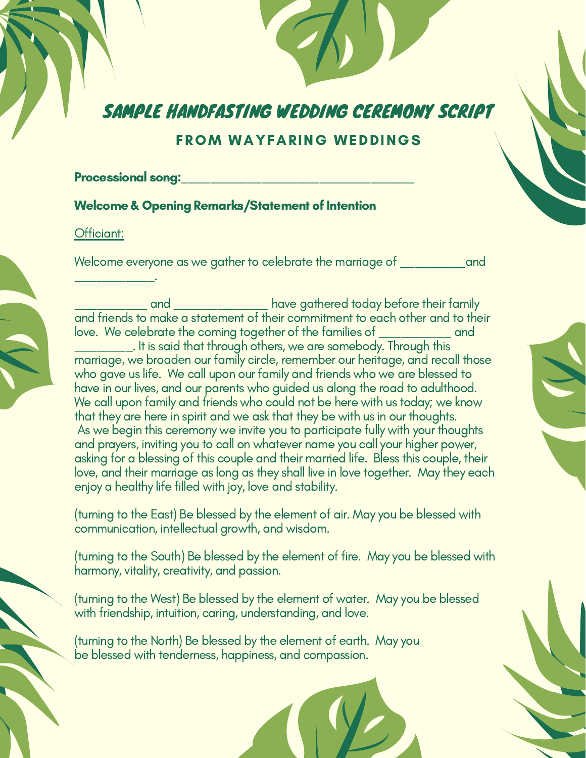# SAMPLE HANDFASTING WEDDING CEREMONY SCRIPT

# FROM WAYFARING WEDDINGS

#### Processional song:

### Welcome & Opening Remarks/Statement of Intention

#### Officiant:

\_\_\_\_\_\_\_\_\_\_\_.

Welcome everyone as we gather to celebrate the marriage of **we and** 

and \_\_\_\_\_\_\_\_\_\_\_\_\_\_\_ have gathered today before their family and friends to make a statement of their commitment to each other and to their love. We celebrate the coming together of the families of \_\_\_\_\_\_\_\_\_\_ and

. It is said that through others, we are somebody. Through this marriage, we broaden our family circle, remember our heritage, and recall those who gave us life. We call upon our family and friends who we are blessed to have in our lives, and our parents who guided us along the road to adulthood. We call upon family and friends who could not be here with us today; we know that they are here in spirit and we ask that they be with us in our thoughts. As we begin this ceremony we invite you to participate fully with your thoughts and prayers, inviting you to call on whatever name you call your higher power, asking for a blessing of this couple and their married life. Bless this couple, their love, and their marriage as long as they shall live in love together. May they each enjoy a healthy life filled with joy, love and stability.

(turning to the East) Be blessed by the element of air. May you be blessed with communication, intellectual growth, and wisdom.

(turning to the South) Be blessed by the element of fire. May you be blessed with harmony, vitality, creativity, and passion.

(turning to the West) Be blessed by the element of water. May you be blessed with friendship, intuition, caring, understanding, and love.

(turning to the North) Be blessed by the element of earth. May you be blessed with tenderness, happiness, and compassion.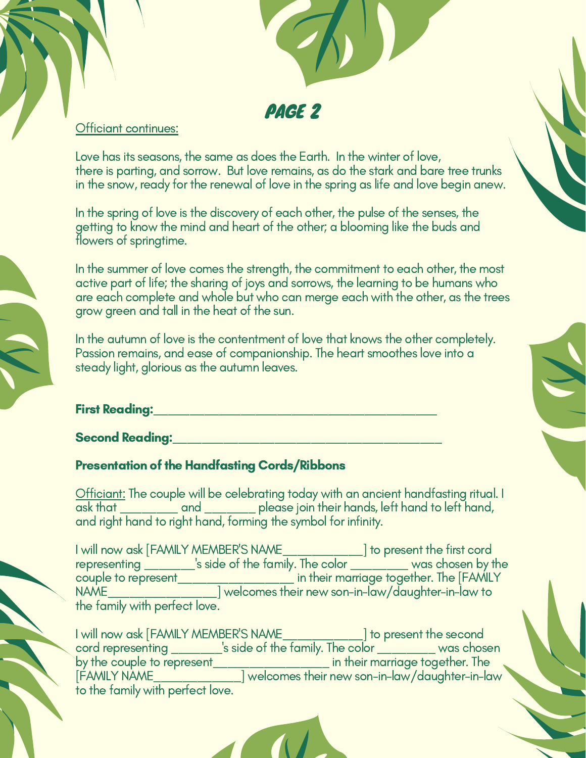

### Officiant continues:

Love has its seasons, the same as does the Earth. In the winter of love, there is parting, and sorrow. But love remains, as do the stark and bare tree trunks in the snow, ready for the renewal of love in the spring as life and love begin anew.

In the spring of love is the discovery of each other, the pulse of the senses, the getting to know the mind and heart of the other; a blooming like the buds and flowers of springtime.

In the summer of love comes the strength, the commitment to each other, the most active part of life; the sharing of joys and sorrows, the learning to be humans who are each complete and whole but who can merge each with the other, as the trees grow green and tall in the heat of the sun.

In the autumn of love is the contentment of love that knows the other completely. Passion remains, and ease of companionship. The heart smoothes love into a steady light, glorious as the autumn leaves.

### First Reading:\_\_\_\_\_\_\_\_\_\_\_\_\_\_\_\_\_\_\_\_\_\_\_\_\_\_\_\_\_\_\_\_\_\_\_\_\_\_\_

**Second Reading: with the conduction of the conduction of the conduction of the conduction of the conduction of the conduction of the conduction of the conduction of the conduction of the conduction of the conduction of th** 

# Presentation of the Handfasting Cords/Ribbons

Officiant: The couple will be celebrating today with an ancient handfasting ritual. I ask that \_\_\_\_\_\_\_\_ and \_\_\_\_\_\_\_ please join their hands, left hand to left hand, and right hand to right hand, forming the symbol for infinity.

I will now ask [FAMILY MEMBER'S NAME\_\_\_\_\_\_\_\_\_\_\_] to present the first cord representing \_\_\_\_\_\_\_'s side of the family. The color \_\_\_\_\_\_\_\_ was chosen by the couple to represent\_\_\_\_\_\_\_\_\_\_\_\_\_\_\_\_ in their marriage together. The [FAMILY NAME\_\_\_\_\_\_\_\_\_\_\_\_\_\_\_] welcomes their new son-in-law/daughter-in-law to the family with perfect love.

I will now ask [FAMILY MEMBER'S NAME\_\_\_\_\_\_\_\_\_\_\_] to present the second cord representing \_\_\_\_\_\_\_\_\_'s side of the family. The color \_\_\_\_\_\_\_\_\_\_\_\_ was chosen by the couple to represent\_\_\_\_\_\_\_\_\_\_\_\_\_\_\_\_\_\_\_ in their marriage together. The [FAMILY NAME\_\_\_\_\_\_\_\_\_\_\_\_] welcomes their new son-in-law/daughter-in-law to the family with perfect love.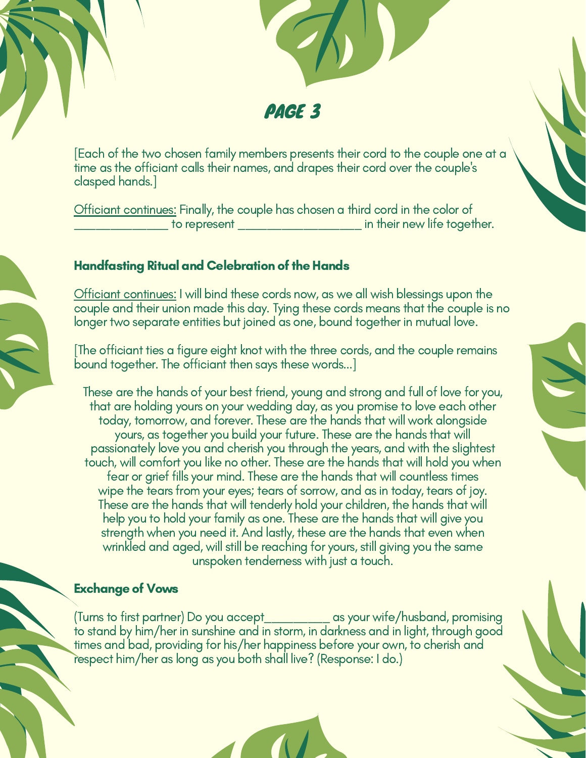

[Each of the two chosen family members presents their cord to the couple one at a time as the officiant calls their names, and drapes their cord over the couple's clasped hands.]

Officiant continues: Finally, the couple has chosen a third cord in the color of to represent \_\_\_\_\_\_\_\_\_\_\_\_\_\_\_\_\_\_\_\_\_\_ in their new life together.

# **Handfasting Ritual and Celebration of the Hands**

Officiant continues: I will bind these cords now, as we all wish blessings upon the couple and their union made this day. Tying these cords means that the couple is no longer two separate entities but joined as one, bound together in mutual love.

[The officiant ties a figure eight knot with the three cords, and the couple remains bound together. The officiant then says these words...]

These are the hands of your best friend, young and strong and full of love for you, that are holding yours on your wedding day, as you promise to love each other today, tomorrow, and forever. These are the hands that will work alongside yours, as together you build your future. These are the hands that will passionately love you and cherish you through the years, and with the slightest touch, will comfort you like no other. These are the hands that will hold you when fear or grief fills your mind. These are the hands that will countless times wipe the tears from your eyes; tears of sorrow, and as in today, tears of joy. These are the hands that will tenderly hold your children, the hands that will help you to hold your family as one. These are the hands that will give you strength when you need it. And lastly, these are the hands that even when wrinkled and aged, will still be reaching for yours, still giving you the same unspoken tenderness with just a touch.

### **Exchange of Vows**

(Turns to first partner) Do you accept\_\_\_\_\_\_\_\_\_ as your wife/husband, promising to stand by him/her in sunshine and in storm, in darkness and in light, through good times and bad, providing for his/her happiness before your own, to cherish and respect him/her as long as you both shall live? (Response: I do.)